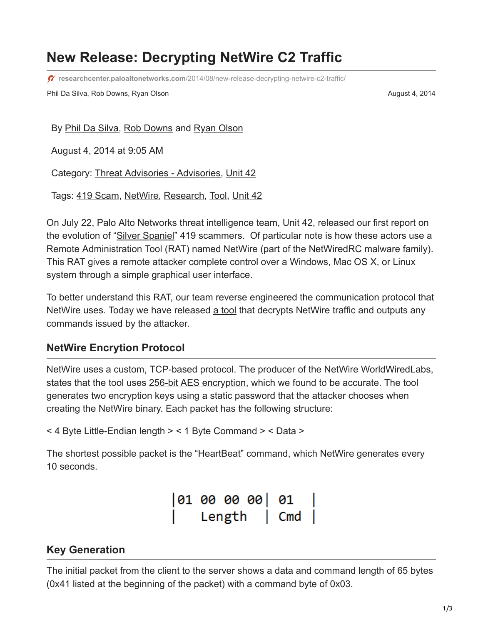# **New Release: Decrypting NetWire C2 Traffic**

**researchcenter.paloaltonetworks.com**[/2014/08/new-release-decrypting-netwire-c2-traffic/](http://researchcenter.paloaltonetworks.com/2014/08/new-release-decrypting-netwire-c2-traffic/)

Phil Da Silva, Rob Downs, Ryan Olson August 4, 2014

By [Phil Da Silva](https://unit42.paloaltonetworks.com/author/phil-da-silva/), [Rob Downs](https://unit42.paloaltonetworks.com/author/rob-downs/) and [Ryan Olson](https://unit42.paloaltonetworks.com/author/ryan-olson/)

August 4, 2014 at 9:05 AM

Category: [Threat Advisories - Advisories,](https://unit42.paloaltonetworks.com/category/threat-briefs-assessments/threat-advisories-advisories/) [Unit 42](https://unit42.paloaltonetworks.com/category/unit42/)

Tags: [419 Scam](https://unit42.paloaltonetworks.com/tag/419-scam/), [NetWire](https://unit42.paloaltonetworks.com/tag/netwire/), [Research](https://unit42.paloaltonetworks.com/tag/research/), [Tool,](https://unit42.paloaltonetworks.com/tag/tool/) [Unit 42](https://unit42.paloaltonetworks.com/tag/unit-42/)

On July 22, Palo Alto Networks threat intelligence team, Unit 42, released our first report on the evolution of "[Silver Spaniel](http://connect.paloaltonetworks.com/adversary-report)" 419 scammers. Of particular note is how these actors use a Remote Administration Tool (RAT) named NetWire (part of the NetWiredRC malware family). This RAT gives a remote attacker complete control over a Windows, Mac OS X, or Linux system through a simple graphical user interface.

To better understand this RAT, our team reverse engineered the communication protocol that NetWire uses. Today we have released [a tool](https://github.com/pan-unit42/public_tools/tree/master/netwire) that decrypts NetWire traffic and outputs any commands issued by the attacker.

## **NetWire Encrytion Protocol**

NetWire uses a custom, TCP-based protocol. The producer of the NetWire WorldWiredLabs, states that the tool uses [256-bit AES encryption,](http://www.worldwiredlabs.com/netwire-features/security/) which we found to be accurate. The tool generates two encryption keys using a static password that the attacker chooses when creating the NetWire binary. Each packet has the following structure:

< 4 Byte Little-Endian length > < 1 Byte Command > < Data >

The shortest possible packet is the "HeartBeat" command, which NetWire generates every 10 seconds.

> $01000000$  01 Length | Cmd |

## **Key Generation**

The initial packet from the client to the server shows a data and command length of 65 bytes (0x41 listed at the beginning of the packet) with a command byte of 0x03.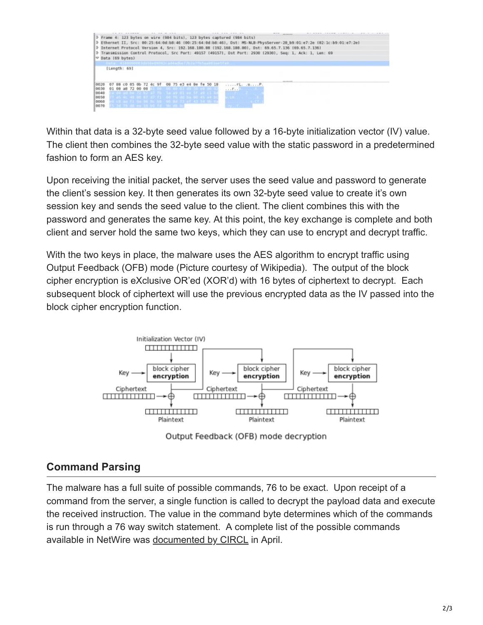

Within that data is a 32-byte seed value followed by a 16-byte initialization vector (IV) value. The client then combines the 32-byte seed value with the static password in a predetermined fashion to form an AES key.

Upon receiving the initial packet, the server uses the seed value and password to generate the client's session key. It then generates its own 32-byte seed value to create it's own session key and sends the seed value to the client. The client combines this with the password and generates the same key. At this point, the key exchange is complete and both client and server hold the same two keys, which they can use to encrypt and decrypt traffic.

With the two keys in place, the malware uses the AES algorithm to encrypt traffic using Output Feedback (OFB) mode (Picture courtesy of Wikipedia). The output of the block cipher encryption is eXclusive OR'ed (XOR'd) with 16 bytes of ciphertext to decrypt. Each subsequent block of ciphertext will use the previous encrypted data as the IV passed into the block cipher encryption function.



Output Feedback (OFB) mode decryption

## **Command Parsing**

The malware has a full suite of possible commands, 76 to be exact. Upon receipt of a command from the server, a single function is called to decrypt the payload data and execute the received instruction. The value in the command byte determines which of the commands is run through a 76 way switch statement. A complete list of the possible commands available in NetWire was [documented by CIRCL](http://www.circl.lu/pub/tr-23/) in April.